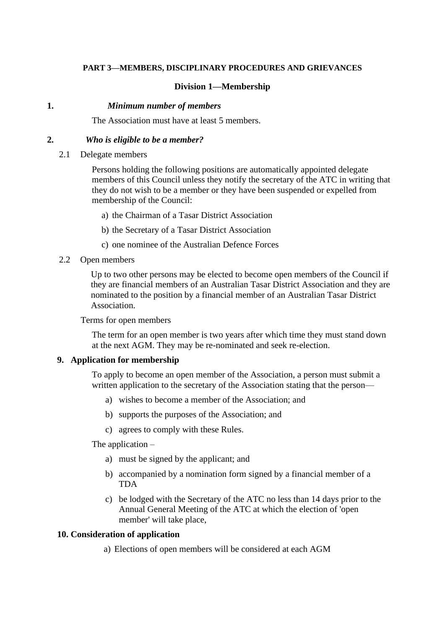## **PART 3—MEMBERS, DISCIPLINARY PROCEDURES AND GRIEVANCES**

# **Division 1—Membership**

#### **1.** *Minimum number of members*

The Association must have at least 5 members.

#### **2.** *Who is eligible to be a member?*

2.1 Delegate members

Persons holding the following positions are automatically appointed delegate members of this Council unless they notify the secretary of the ATC in writing that they do not wish to be a member or they have been suspended or expelled from membership of the Council:

- a) the Chairman of a Tasar District Association
- b) the Secretary of a Tasar District Association
- c) one nominee of the Australian Defence Forces
- 2.2 Open members

Up to two other persons may be elected to become open members of the Council if they are financial members of an Australian Tasar District Association and they are nominated to the position by a financial member of an Australian Tasar District Association.

Terms for open members

The term for an open member is two years after which time they must stand down at the next AGM. They may be re-nominated and seek re-election.

## **9. Application for membership**

To apply to become an open member of the Association, a person must submit a written application to the secretary of the Association stating that the person—

- a) wishes to become a member of the Association; and
- b) supports the purposes of the Association; and
- c) agrees to comply with these Rules.

The application –

- a) must be signed by the applicant; and
- b) accompanied by a nomination form signed by a financial member of a TDA
- c) be lodged with the Secretary of the ATC no less than 14 days prior to the Annual General Meeting of the ATC at which the election of 'open member' will take place,

## **10. Consideration of application**

a) Elections of open members will be considered at each AGM